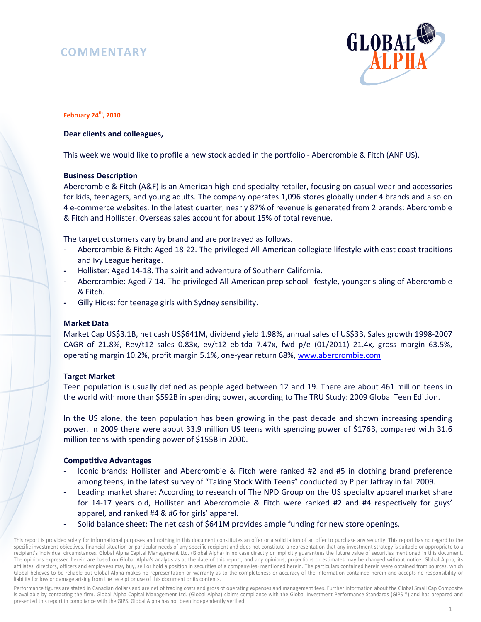# **COMMENTARY**



# **February 24th, 2010**

# **Dear clients and colleagues,**

This week we would like to profile a new stock added in the portfolio - Abercrombie & Fitch (ANF US).

# **Business Description**

Abercrombie & Fitch (A&F) is an American high-end specialty retailer, focusing on casual wear and accessories for kids, teenagers, and young adults. The company operates 1,096 stores globally under 4 brands and also on 4 e-commerce websites. In the latest quarter, nearly 87% of revenue is generated from 2 brands: Abercrombie & Fitch and Hollister. Overseas sales account for about 15% of total revenue.

The target customers vary by brand and are portrayed as follows.

- **-** Abercrombie & Fitch: Aged 18-22. The privileged All-American collegiate lifestyle with east coast traditions and Ivy League heritage.
- **-** Hollister: Aged 14-18. The spirit and adventure of Southern California.
- **-** Abercrombie: Aged 7-14. The privileged All-American prep school lifestyle, younger sibling of Abercrombie & Fitch.
- **-** Gilly Hicks: for teenage girls with Sydney sensibility.

# **Market Data**

Market Cap US\$3.1B, net cash US\$641M, dividend yield 1.98%, annual sales of US\$3B, Sales growth 1998-2007 CAGR of 21.8%, Rev/t12 sales 0.83x, ev/t12 ebitda 7.47x, fwd p/e (01/2011) 21.4x, gross margin 63.5%, operating margin 10.2%, profit margin 5.1%, one-year return 68%, www.abercrombie.com

# **Target Market**

Teen population is usually defined as people aged between 12 and 19. There are about 461 million teens in the world with more than \$592B in spending power, according to The TRU Study: 2009 Global Teen Edition.

In the US alone, the teen population has been growing in the past decade and shown increasing spending power. In 2009 there were about 33.9 million US teens with spending power of \$176B, compared with 31.6 million teens with spending power of \$155B in 2000.

# **Competitive Advantages**

- **-** Iconic brands: Hollister and Abercrombie & Fitch were ranked #2 and #5 in clothing brand preference among teens, in the latest survey of "Taking Stock With Teens" conducted by Piper Jaffray in fall 2009.
- **-** Leading market share: According to research of The NPD Group on the US specialty apparel market share for 14-17 years old, Hollister and Abercrombie & Fitch were ranked #2 and #4 respectively for guys' apparel, and ranked #4 & #6 for girls' apparel.
- **-** Solid balance sheet: The net cash of \$641M provides ample funding for new store openings.

Performance figures are stated in Canadian dollars and are net of trading costs and gross of operating expenses and management fees. Further information about the Global Small Cap Composite is available by contacting the firm. Global Alpha Capital Management Ltd. (Global Alpha) claims compliance with the Global Investment Performance Standards (GIPS ®) and has prepared and presented this report in compliance with the GIPS. Global Alpha has not been independently verified.

This report is provided solely for informational purposes and nothing in this document constitutes an offer or a solicitation of an offer to purchase any security. This report has no regard to the specific investment objectives, financial situation or particular needs of any specific recipient and does not constitute a representation that any investment strategy is suitable or appropriate to a recipient's individual circumstances. Global Alpha Capital Management Ltd. (Global Alpha) in no case directly or implicitly guarantees the future value of securities mentioned in this document. The opinions expressed herein are based on Global Alpha's analysis as at the date of this report, and any opinions, projections or estimates may be changed without notice. Global Alpha, its affiliates, directors, officers and employees may buy, sell or hold a position in securities of a company(ies) mentioned herein. The particulars contained herein were obtained from sources, which Global believes to be reliable but Global Alpha makes no representation or warranty as to the completeness or accuracy of the information contained herein and accepts no responsibility or liability for loss or damage arising from the receipt or use of this document or its contents.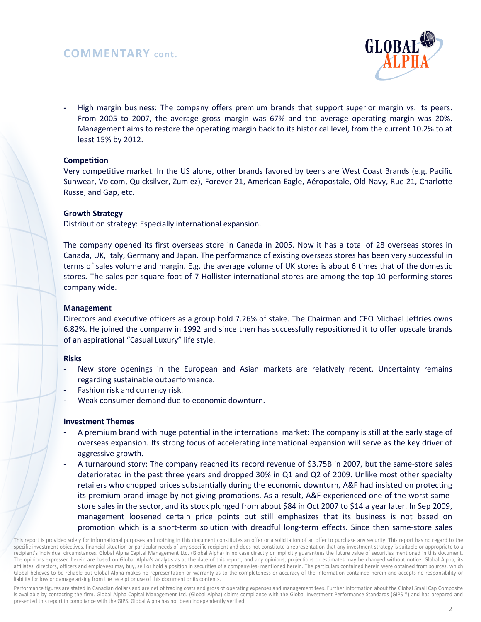# **COMMENTARY cont.**



**-** High margin business: The company offers premium brands that support superior margin vs. its peers. From 2005 to 2007, the average gross margin was 67% and the average operating margin was 20%. Management aims to restore the operating margin back to its historical level, from the current 10.2% to at least 15% by 2012.

# **Competition**

Very competitive market. In the US alone, other brands favored by teens are West Coast Brands (e.g. Pacific Sunwear, Volcom, Quicksilver, Zumiez), Forever 21, American Eagle, Aéropostale, Old Navy, Rue 21, Charlotte Russe, and Gap, etc.

# **Growth Strategy**

Distribution strategy: Especially international expansion.

The company opened its first overseas store in Canada in 2005. Now it has a total of 28 overseas stores in Canada, UK, Italy, Germany and Japan. The performance of existing overseas stores has been very successful in terms of sales volume and margin. E.g. the average volume of UK stores is about 6 times that of the domestic stores. The sales per square foot of 7 Hollister international stores are among the top 10 performing stores company wide.

# **Management**

Directors and executive officers as a group hold 7.26% of stake. The Chairman and CEO Michael Jeffries owns 6.82%. He joined the company in 1992 and since then has successfully repositioned it to offer upscale brands of an aspirational "Casual Luxury" life style.

# **Risks**

- **-** New store openings in the European and Asian markets are relatively recent. Uncertainty remains regarding sustainable outperformance.
- **-** Fashion risk and currency risk.
- **-** Weak consumer demand due to economic downturn.

# **Investment Themes**

- **-** A premium brand with huge potential in the international market: The company is still at the early stage of overseas expansion. Its strong focus of accelerating international expansion will serve as the key driver of aggressive growth.
- **-** A turnaround story: The company reached its record revenue of \$3.75B in 2007, but the same-store sales deteriorated in the past three years and dropped 30% in Q1 and Q2 of 2009. Unlike most other specialty retailers who chopped prices substantially during the economic downturn, A&F had insisted on protecting its premium brand image by not giving promotions. As a result, A&F experienced one of the worst samestore sales in the sector, and its stock plunged from about \$84 in Oct 2007 to \$14 a year later. In Sep 2009, management loosened certain price points but still emphasizes that its business is not based on promotion which is a short-term solution with dreadful long-term effects. Since then same-store sales

Performance figures are stated in Canadian dollars and are net of trading costs and gross of operating expenses and management fees. Further information about the Global Small Cap Composite is available by contacting the firm. Global Alpha Capital Management Ltd. (Global Alpha) claims compliance with the Global Investment Performance Standards (GIPS ®) and has prepared and presented this report in compliance with the GIPS. Global Alpha has not been independently verified.

This report is provided solely for informational purposes and nothing in this document constitutes an offer or a solicitation of an offer to purchase any security. This report has no regard to the specific investment objectives, financial situation or particular needs of any specific recipient and does not constitute a representation that any investment strategy is suitable or appropriate to a recipient's individual circumstances. Global Alpha Capital Management Ltd. (Global Alpha) in no case directly or implicitly guarantees the future value of securities mentioned in this document. The opinions expressed herein are based on Global Alpha's analysis as at the date of this report, and any opinions, projections or estimates may be changed without notice. Global Alpha, its affiliates, directors, officers and employees may buy, sell or hold a position in securities of a company(ies) mentioned herein. The particulars contained herein were obtained from sources, which Global believes to be reliable but Global Alpha makes no representation or warranty as to the completeness or accuracy of the information contained herein and accepts no responsibility or liability for loss or damage arising from the receipt or use of this document or its contents.